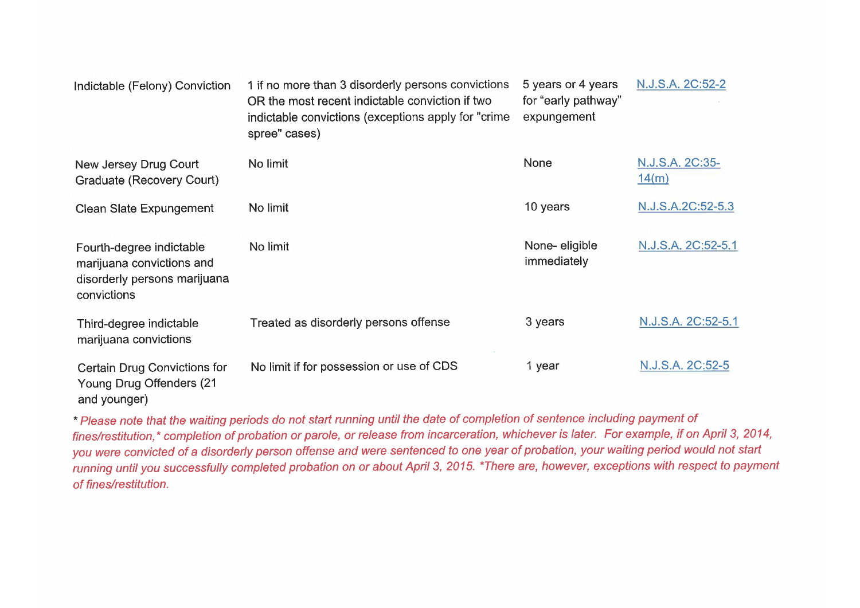| Indictable (Felony) Conviction                                                                       | 1 if no more than 3 disorderly persons convictions<br>OR the most recent indictable conviction if two<br>indictable convictions (exceptions apply for "crime<br>spree" cases) | 5 years or 4 years<br>for "early pathway"<br>expungement | N.J.S.A. 2C:52-2         |
|------------------------------------------------------------------------------------------------------|-------------------------------------------------------------------------------------------------------------------------------------------------------------------------------|----------------------------------------------------------|--------------------------|
| New Jersey Drug Court<br>Graduate (Recovery Court)                                                   | No limit                                                                                                                                                                      | <b>None</b>                                              | N.J.S.A. 2C:35-<br>14(m) |
| Clean Slate Expungement                                                                              | No limit                                                                                                                                                                      | 10 years                                                 | N.J.S.A.2C:52-5.3        |
| Fourth-degree indictable<br>marijuana convictions and<br>disorderly persons marijuana<br>convictions | No limit                                                                                                                                                                      | None-eligible<br>immediately                             | N.J.S.A. 2C:52-5.1       |
| Third-degree indictable<br>marijuana convictions                                                     | Treated as disorderly persons offense                                                                                                                                         | 3 years                                                  | N.J.S.A. 2C:52-5.1       |
| <b>Certain Drug Convictions for</b><br>Young Drug Offenders (21<br>and younger)                      | No limit if for possession or use of CDS                                                                                                                                      | 1 year                                                   | N.J.S.A. 2C:52-5         |

\* Please note that the waiting periods do not start running until the date of completion of sentence including payment of fines/restitution,\* completion of probation or parole, or release from incarceration, whichever is later. For example, if on April 3, 2014, you were convicted of a disorderly person offense and were sentenced to one year of probation, your waiting period would not start running until you successfully completed probation on or about April 3, 2015. \*There are, however, exceptions with respect to payment of fines/restitution.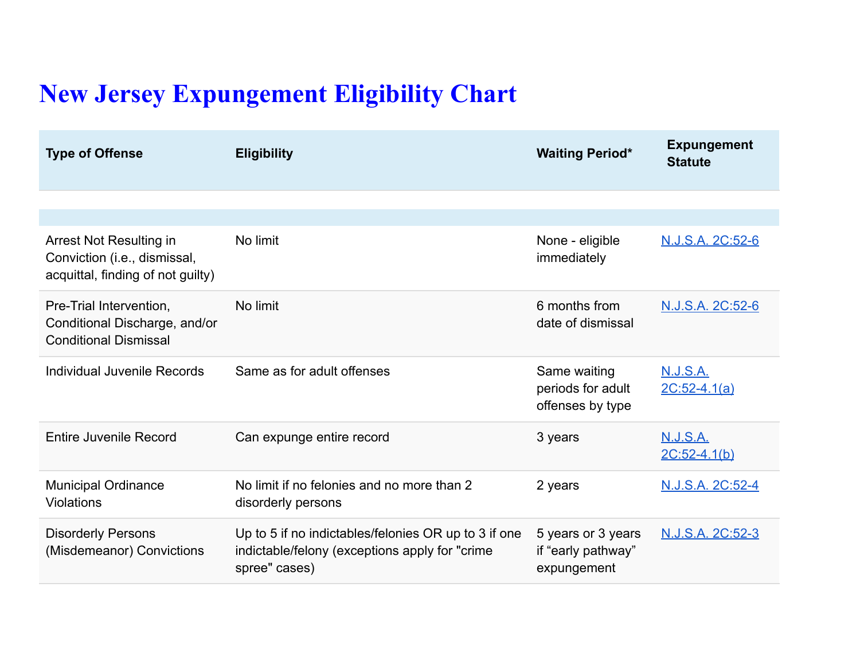## **New Jersey Expungement Eligibility Chart**

| <b>Type of Offense</b>                                                                       | <b>Eligibility</b>                                                                                                      | <b>Waiting Period*</b>                                  | <b>Expungement</b><br><b>Statute</b> |
|----------------------------------------------------------------------------------------------|-------------------------------------------------------------------------------------------------------------------------|---------------------------------------------------------|--------------------------------------|
|                                                                                              |                                                                                                                         |                                                         |                                      |
|                                                                                              |                                                                                                                         |                                                         |                                      |
| Arrest Not Resulting in<br>Conviction (i.e., dismissal,<br>acquittal, finding of not guilty) | No limit                                                                                                                | None - eligible<br>immediately                          | N.J.S.A. 2C:52-6                     |
| Pre-Trial Intervention,<br>Conditional Discharge, and/or<br><b>Conditional Dismissal</b>     | No limit                                                                                                                | 6 months from<br>date of dismissal                      | N.J.S.A. 2C:52-6                     |
| Individual Juvenile Records                                                                  | Same as for adult offenses                                                                                              | Same waiting<br>periods for adult<br>offenses by type   | <b>N.J.S.A.</b><br>$2C:52-4.1(a)$    |
| <b>Entire Juvenile Record</b>                                                                | Can expunge entire record                                                                                               | 3 years                                                 | <u>N.J.S.A.</u><br>$2C:52-4.1(b)$    |
| <b>Municipal Ordinance</b><br>Violations                                                     | No limit if no felonies and no more than 2<br>disorderly persons                                                        | 2 years                                                 | N.J.S.A. 2C:52-4                     |
| <b>Disorderly Persons</b><br>(Misdemeanor) Convictions                                       | Up to 5 if no indictables/felonies OR up to 3 if one<br>indictable/felony (exceptions apply for "crime<br>spree" cases) | 5 years or 3 years<br>if "early pathway"<br>expungement | <u>N.J.S.A. 2C:52-3</u>              |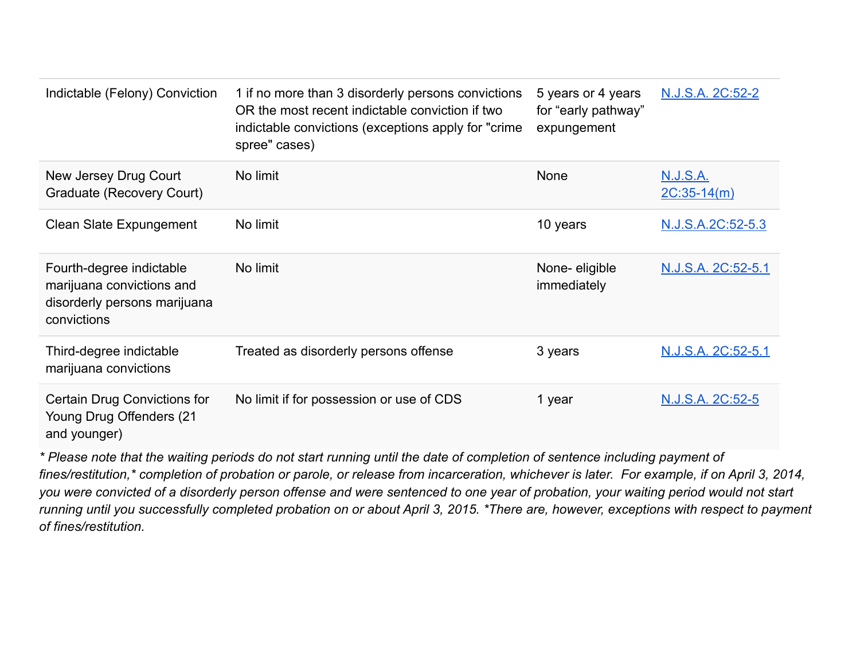| Indictable (Felony) Conviction                                                                       | 1 if no more than 3 disorderly persons convictions<br>OR the most recent indictable conviction if two<br>indictable convictions (exceptions apply for "crime<br>spree" cases) | 5 years or 4 years<br>for "early pathway"<br>expungement | N.J.S.A. 2C:52-2                 |
|------------------------------------------------------------------------------------------------------|-------------------------------------------------------------------------------------------------------------------------------------------------------------------------------|----------------------------------------------------------|----------------------------------|
| New Jersey Drug Court<br>Graduate (Recovery Court)                                                   | No limit                                                                                                                                                                      | <b>None</b>                                              | <b>N.J.S.A.</b><br>$2C:35-14(m)$ |
| Clean Slate Expungement                                                                              | No limit                                                                                                                                                                      | 10 years                                                 | N.J.S.A.2C:52-5.3                |
| Fourth-degree indictable<br>marijuana convictions and<br>disorderly persons marijuana<br>convictions | No limit                                                                                                                                                                      | None-eligible<br>immediately                             | N.J.S.A. 2C:52-5.1               |
| Third-degree indictable<br>marijuana convictions                                                     | Treated as disorderly persons offense                                                                                                                                         | 3 years                                                  | N.J.S.A. 2C:52-5.1               |
| Certain Drug Convictions for<br>Young Drug Offenders (21<br>and younger)                             | No limit if for possession or use of CDS                                                                                                                                      | 1 year                                                   | N.J.S.A. 2C:52-5                 |

*\* Please note that the waiting periods do not start running until the date of completion of sentence including payment of fines/restitution,\* completion of probation or parole, or release from incarceration, whichever is later. For example, if on April 3, 2014, you were convicted of a disorderly person offense and were sentenced to one year of probation, your waiting period would not start running until you successfully completed probation on or about April 3, 2015. \*There are, however, exceptions with respect to payment of fines/restitution.*